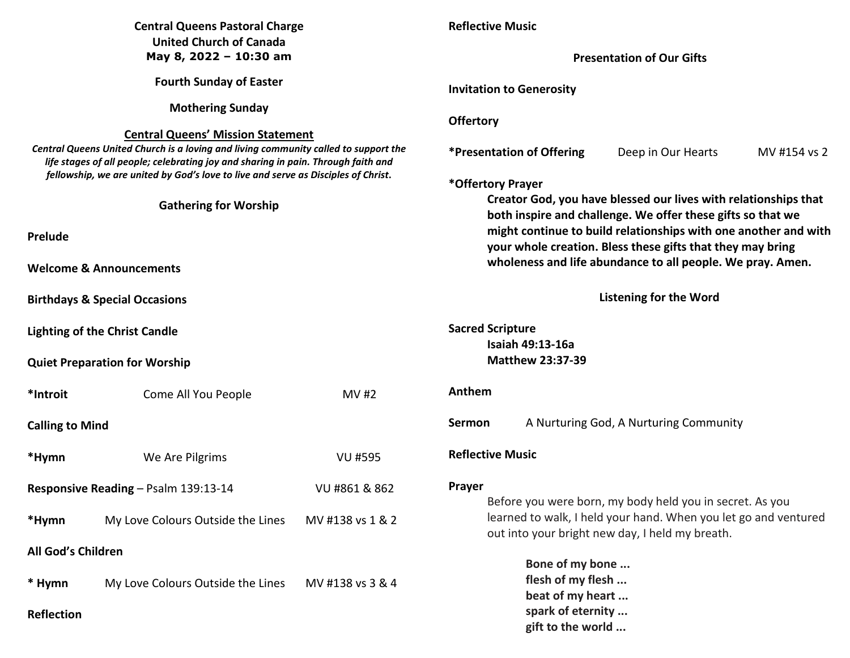| <b>Central Queens Pastoral Charge</b>                    |                                                                                                                                                                        |                                                                                                                                | <b>Reflective Music</b>                                                                                                                                                                     |                                       |                                                                                                                                                                                |  |
|----------------------------------------------------------|------------------------------------------------------------------------------------------------------------------------------------------------------------------------|--------------------------------------------------------------------------------------------------------------------------------|---------------------------------------------------------------------------------------------------------------------------------------------------------------------------------------------|---------------------------------------|--------------------------------------------------------------------------------------------------------------------------------------------------------------------------------|--|
| <b>United Church of Canada</b><br>May 8, 2022 - 10:30 am |                                                                                                                                                                        |                                                                                                                                | <b>Presentation of Our Gifts</b>                                                                                                                                                            |                                       |                                                                                                                                                                                |  |
|                                                          |                                                                                                                                                                        |                                                                                                                                |                                                                                                                                                                                             |                                       |                                                                                                                                                                                |  |
| <b>Fourth Sunday of Easter</b>                           |                                                                                                                                                                        |                                                                                                                                | <b>Invitation to Generosity</b>                                                                                                                                                             |                                       |                                                                                                                                                                                |  |
|                                                          | <b>Mothering Sunday</b>                                                                                                                                                |                                                                                                                                |                                                                                                                                                                                             |                                       |                                                                                                                                                                                |  |
|                                                          | <b>Central Queens' Mission Statement</b>                                                                                                                               | <b>Offertory</b>                                                                                                               |                                                                                                                                                                                             |                                       |                                                                                                                                                                                |  |
|                                                          | Central Queens United Church is a loving and living community called to support the                                                                                    |                                                                                                                                | <b>*Presentation of Offering</b>                                                                                                                                                            | Deep in Our Hearts                    | MV #154 vs 2                                                                                                                                                                   |  |
|                                                          | life stages of all people; celebrating joy and sharing in pain. Through faith and<br>fellowship, we are united by God's love to live and serve as Disciples of Christ. |                                                                                                                                |                                                                                                                                                                                             |                                       |                                                                                                                                                                                |  |
|                                                          |                                                                                                                                                                        | *Offertory Prayer                                                                                                              |                                                                                                                                                                                             |                                       |                                                                                                                                                                                |  |
|                                                          | <b>Gathering for Worship</b>                                                                                                                                           | Creator God, you have blessed our lives with relationships that<br>both inspire and challenge. We offer these gifts so that we |                                                                                                                                                                                             |                                       |                                                                                                                                                                                |  |
|                                                          |                                                                                                                                                                        |                                                                                                                                |                                                                                                                                                                                             |                                       |                                                                                                                                                                                |  |
| Prelude                                                  |                                                                                                                                                                        |                                                                                                                                | might continue to build relationships with one another and with<br>your whole creation. Bless these gifts that they may bring<br>wholeness and life abundance to all people. We pray. Amen. |                                       |                                                                                                                                                                                |  |
| <b>Welcome &amp; Announcements</b>                       |                                                                                                                                                                        |                                                                                                                                |                                                                                                                                                                                             |                                       |                                                                                                                                                                                |  |
|                                                          |                                                                                                                                                                        |                                                                                                                                |                                                                                                                                                                                             |                                       |                                                                                                                                                                                |  |
|                                                          | <b>Birthdays &amp; Special Occasions</b>                                                                                                                               | <b>Listening for the Word</b>                                                                                                  |                                                                                                                                                                                             |                                       |                                                                                                                                                                                |  |
| <b>Lighting of the Christ Candle</b>                     |                                                                                                                                                                        |                                                                                                                                | <b>Sacred Scripture</b><br>Isaiah 49:13-16a<br><b>Matthew 23:37-39</b>                                                                                                                      |                                       |                                                                                                                                                                                |  |
|                                                          |                                                                                                                                                                        |                                                                                                                                |                                                                                                                                                                                             |                                       |                                                                                                                                                                                |  |
| <b>Quiet Preparation for Worship</b>                     |                                                                                                                                                                        |                                                                                                                                |                                                                                                                                                                                             |                                       |                                                                                                                                                                                |  |
| *Introit                                                 | Come All You People                                                                                                                                                    | MV #2                                                                                                                          | Anthem                                                                                                                                                                                      |                                       |                                                                                                                                                                                |  |
| <b>Calling to Mind</b>                                   |                                                                                                                                                                        |                                                                                                                                | Sermon                                                                                                                                                                                      |                                       | A Nurturing God, A Nurturing Community                                                                                                                                         |  |
| *Hymn                                                    | We Are Pilgrims                                                                                                                                                        | <b>VU #595</b>                                                                                                                 | <b>Reflective Music</b>                                                                                                                                                                     |                                       |                                                                                                                                                                                |  |
|                                                          | Responsive Reading - Psalm 139:13-14                                                                                                                                   | VU #861 & 862                                                                                                                  | Prayer                                                                                                                                                                                      |                                       | Before you were born, my body held you in secret. As you<br>learned to walk, I held your hand. When you let go and ventured<br>out into your bright new day, I held my breath. |  |
| *Hymn                                                    | My Love Colours Outside the Lines                                                                                                                                      | MV #138 vs 1 & 2                                                                                                               |                                                                                                                                                                                             |                                       |                                                                                                                                                                                |  |
| All God's Children                                       |                                                                                                                                                                        |                                                                                                                                |                                                                                                                                                                                             |                                       |                                                                                                                                                                                |  |
|                                                          |                                                                                                                                                                        |                                                                                                                                |                                                                                                                                                                                             | Bone of my bone                       |                                                                                                                                                                                |  |
| * Hymn                                                   | My Love Colours Outside the Lines                                                                                                                                      | MV #138 vs 3 & 4                                                                                                               |                                                                                                                                                                                             | flesh of my flesh                     |                                                                                                                                                                                |  |
|                                                          |                                                                                                                                                                        |                                                                                                                                |                                                                                                                                                                                             | beat of my heart<br>spark of eternity |                                                                                                                                                                                |  |
| <b>Reflection</b>                                        |                                                                                                                                                                        |                                                                                                                                |                                                                                                                                                                                             | gift to the world                     |                                                                                                                                                                                |  |
|                                                          |                                                                                                                                                                        |                                                                                                                                |                                                                                                                                                                                             |                                       |                                                                                                                                                                                |  |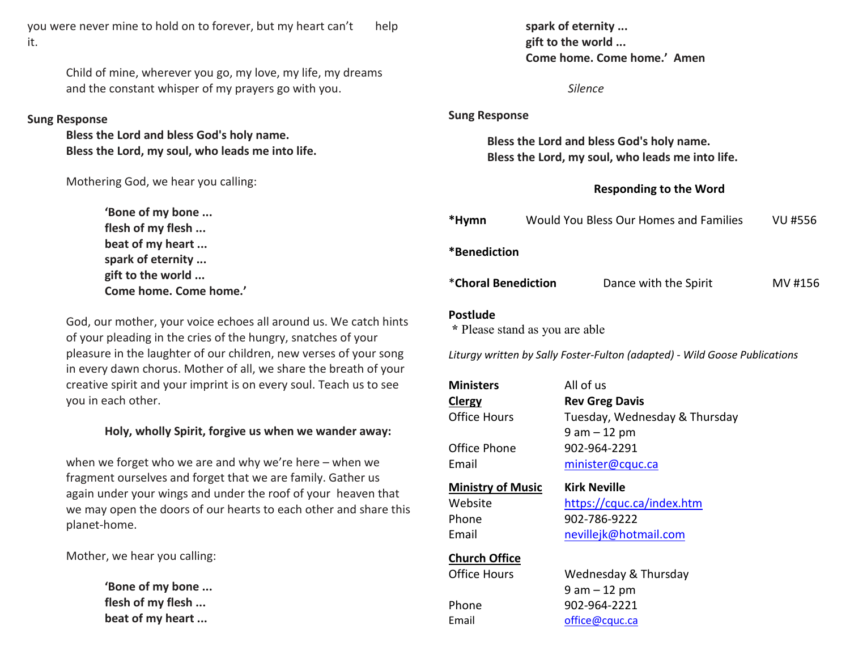you were never mine to hold on to forever, but my heart can't help it.

> Child of mine, wherever you go, my love, my life, my dreams and the constant whisper of my prayers go with you.

#### **Sung Response**

 **Bless the Lord and bless God's holy name. Bless the Lord, my soul, who leads me into life.** 

Mothering God, we hear you calling:

**'Bone of my bone ... flesh of my flesh ... beat of my heart ... spark of eternity ... gift to the world ... Come home. Come home.'**

> God, our mother, your voice echoes all around us. We catch hints of your pleading in the cries of the hungry, snatches of your pleasure in the laughter of our children, new verses of your song in every dawn chorus. Mother of all, we share the breath of your creative spirit and your imprint is on every soul. Teach us to see you in each other.

### **Holy, wholly Spirit, forgive us when we wander away:**

when we forget who we are and why we're here – when we fragment ourselves and forget that we are family. Gather us again under your wings and under the roof of your heaven that we may open the doors of our hearts to each other and share this planet-home.

Mother, we hear you calling:

**'Bone of my bone ... flesh of my flesh ... beat of my heart ...** 

| <b>Sung Response</b>                                                                                                            |  |  |  |  |  |  |  |
|---------------------------------------------------------------------------------------------------------------------------------|--|--|--|--|--|--|--|
| Bless the Lord and bless God's holy name.<br>Bless the Lord, my soul, who leads me into life.                                   |  |  |  |  |  |  |  |
| <b>Responding to the Word</b>                                                                                                   |  |  |  |  |  |  |  |
| Would You Bless Our Homes and Families<br><b>VU #556</b>                                                                        |  |  |  |  |  |  |  |
| *Benediction                                                                                                                    |  |  |  |  |  |  |  |
| MV #156                                                                                                                         |  |  |  |  |  |  |  |
| <b>Postlude</b><br>* Please stand as you are able<br>Liturgy written by Sally Foster-Fulton (adapted) - Wild Goose Publications |  |  |  |  |  |  |  |
| All of us<br><b>Rev Greg Davis</b><br>Tuesday, Wednesday & Thursday<br>$9$ am $-12$ pm<br>902-964-2291<br>minister@cquc.ca      |  |  |  |  |  |  |  |
|                                                                                                                                 |  |  |  |  |  |  |  |
|                                                                                                                                 |  |  |  |  |  |  |  |
|                                                                                                                                 |  |  |  |  |  |  |  |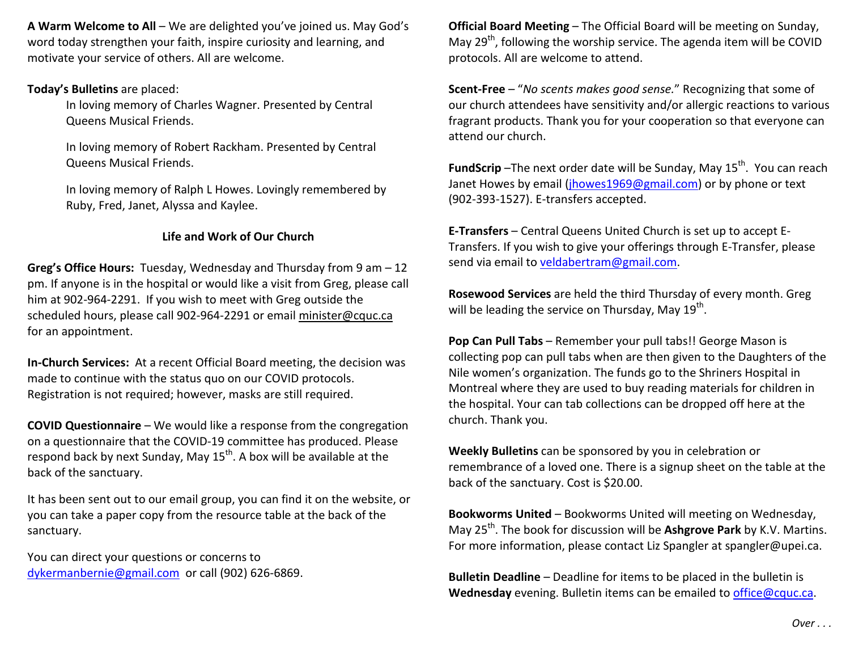**A Warm Welcome to All** – We are delighted you've joined us. May God's word today strengthen your faith, inspire curiosity and learning, and motivate your service of others. All are welcome.

### **Today's Bulletins** are placed:

In loving memory of Charles Wagner. Presented by Central Queens Musical Friends.

In loving memory of Robert Rackham. Presented by Central Queens Musical Friends.

In loving memory of Ralph L Howes. Lovingly remembered by Ruby, Fred, Janet, Alyssa and Kaylee.

# **Life and Work of Our Church**

**Greg's Office Hours:** Tuesday, Wednesday and Thursday from 9 am – 12 pm. If anyone is in the hospital or would like a visit from Greg, please call him at 902-964-2291. If you wish to meet with Greg outside the scheduled hours, please call 902-964-2291 or email minister@cquc.ca for an appointment.

**In-Church Services:** At a recent Official Board meeting, the decision was made to continue with the status quo on our COVID protocols. Registration is not required; however, masks are still required.

**COVID Questionnaire** – We would like a response from the congregation on a questionnaire that the COVID-19 committee has produced. Please respond back by next Sunday, May  $15^{th}$ . A box will be available at the back of the sanctuary.

It has been sent out to our email group, you can find it on the website, or you can take a paper copy from the resource table at the back of the sanctuary.

You can direct your questions or concerns to dykermanbernie@gmail.com or call (902) 626-6869. **Official Board Meeting** – The Official Board will be meeting on Sunday, May  $29<sup>th</sup>$ , following the worship service. The agenda item will be COVID protocols. All are welcome to attend.

**Scent-Free** – "*No scents makes good sense.*" Recognizing that some of our church attendees have sensitivity and/or allergic reactions to various fragrant products. Thank you for your cooperation so that everyone can attend our church.

**FundScrip** -The next order date will be Sunday, May 15<sup>th</sup>. You can reach Janet Howes by email (jhowes1969@gmail.com) or by phone or text (902-393-1527). E-transfers accepted.

**E-Transfers** – Central Queens United Church is set up to accept E-Transfers. If you wish to give your offerings through E-Transfer, please send via email to veldabertram@gmail.com.

**Rosewood Services** are held the third Thursday of every month. Greg will be leading the service on Thursday, May  $19^{th}$ .

**Pop Can Pull Tabs** – Remember your pull tabs!! George Mason is collecting pop can pull tabs when are then given to the Daughters of the Nile women's organization. The funds go to the Shriners Hospital in Montreal where they are used to buy reading materials for children in the hospital. Your can tab collections can be dropped off here at the church. Thank you.

**Weekly Bulletins** can be sponsored by you in celebration or remembrance of a loved one. There is a signup sheet on the table at the back of the sanctuary. Cost is \$20.00.

**Bookworms United** – Bookworms United will meeting on Wednesday, May 25th. The book for discussion will be **Ashgrove Park** by K.V. Martins. For more information, please contact Liz Spangler at spangler@upei.ca.

**Bulletin Deadline** – Deadline for items to be placed in the bulletin is **Wednesday** evening. Bulletin items can be emailed to office@cquc.ca.